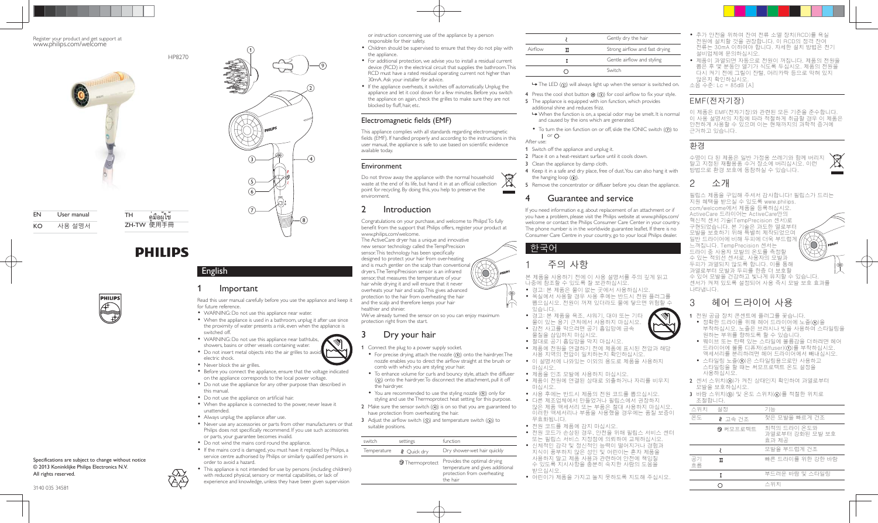

#### Register your product and get support at www.philips.com/welcome



EN User manual KO 사용설명서

**PHILIPS** 

 $TH$  คู่มือผู้ใช<sup>้</sup> ZH-TW 使用手冊

HP8270

English

for future reference.

switched off.

electric shock. • Never block the air grilles.

this manual.

unattended.

AA

**Important** 

WARNING: Do not use this appliance near water.

 $\left( 1\right)$ 

 $(5)$  $\left( 6\right)$ 

 $(7)$ 

 $\left( 2\right)$ 

9

 $^{(8)}$ 

 WARNING: Do not use this appliance near bathtubs, showers, basins or other vessels containing water. • Do not insert metal objects into the air grilles to avoid

• Do not use the appliance on artificial hair.

Always unplug the appliance after use.

order to avoid a hazard.

or parts, your guarantee becomes invalid. Do not wind the mains cord round the appliance.

Read this user manual carefully before you use the appliance and keep it

 $\left(3\right)$   $\leftarrow$   $\leftarrow$   $\left(4\right)$ 

 When the appliance is used in a bathroom, unplug it after use since the proximity of water presents a risk, even when the appliance is

• Before you connect the appliance, ensure that the voltage indicated on the appliance corresponds to the local power voltage. Do not use the appliance for any other purpose than described in

When the appliance is connected to the power, never leave it

 Never use any accessories or parts from other manufacturers or that Philips does not specifically recommend. If you use such accessories

• If the mains cord is damaged, you must have it replaced by Philips, a service centre authorised by Philips or similarly qualified persons in

 This appliance is not intended for use by persons (including children) with reduced physical, sensory or mental capabilities, or lack of experience and knowledge, unless they have been given supervision



#### Specifications are subject to change without notice © 2013 Koninklijke Philips Electronics N.V. All rights reserved.



- For additional protection, we advise you to install a residual current device (RCD) in the electrical circuit that supplies the bathroom. This RCD must have a rated residual operating current not higher than 30mA. Ask your installer for advice.
- If the appliance overheats, it switches off automatically. Unplug the appliance and let it cool down for a few minutes. Before you switch the appliance on again, check the grilles to make sure they are not blocked by fluff, hair, etc.

### Electromagnetic fields (EMF)

This appliance complies with all standards regarding electromagnetic fields (EMF). If handled properly and according to the instructions in this user manual, the appliance is safe to use based on scientific evidence available today.

#### Environment

Do not throw away the appliance with the normal household waste at the end of its life, but hand it in at an official collection  $\Box$ point for recycling. By doing this, you help to preserve the environment.

### 2 Introduction

Congratulations on your purchase, and welcome to Philips! To fully benefit from the support that Philips offers, register your product at www.philips.com/welcome.

The ActiveCare dryer has a unique and innovative new sensor technology called the TempPrecision sensor. This technology has been specifically designed to protect your hair from over-heating and is much gentler on the scalp than conventional dryers. The TempPrecision sensor is an infrared sensor, that measures the temperature of your hair while drying it and will ensure that it never overheats your hair and scalp. This gives advanced protection to the hair from overheating the hair and the scalp and therefore keeps your hair healthier and shinier. We've already turned the sensor on so you can enjoy maximum

protection right from the start.

## 3 Dry your hair

1 Connect the plug to a power supply socket.

- For precise drying, attach the nozzle  $(9)$  onto the hairdryer. The nozzle enables you to direct the airflow straight at the brush or comb with which you are styling your hair.
- To enhance volume for curls and bouncy style, attach the diffuser  $($  $($  $)$ ) onto the hairdryer. To disconnect the attachment, pull it off the hairdryer.
- You are recommended to use the styling nozzle  $(9)$  only for styling and use the Thermoprotect heat setting for this purpose.
- 2 Make sure the sensor switch  $(4)$  is on so that you are guaranteed to have protection from overheating the hair.

3 Adjust the airflow switch  $(5)$  and temperature switch  $(6)$  to suitable positions.

| switch      | settings                      | function                                                                                                   |
|-------------|-------------------------------|------------------------------------------------------------------------------------------------------------|
| Temperature | <b><i>&amp;</i></b> Ouick dry | Dry shower-wet hair quickly                                                                                |
|             | <b>2</b> Thermoprotect        | Provides the optimal drying<br>temperature and gives additional<br>protection from overheating<br>the hair |

|         | Gently dry the hair            |
|---------|--------------------------------|
| Airflow | Strong airflow and fast drying |
|         | Gentle airflow and styling     |
|         | Switch                         |

 $\rightarrow$  The LED ( $\circ$ ) will always light up when the sensor is switched on.

- 4 Press the cool shot button  $\frac{4k}{100}$  (3)) for cool airflow to fix your style. 5 The appliance is equipped with ion function, which provides
- additional shine and reduces frizz.  $\rightarrow$  When the function is on, a special odor may be smelt. It is normal and caused by the ions which are generated.
- $\bullet$  To turn the ion function on or off, slide the IONIC switch  $(7)$  to  $\ln$  or  $\Omega$

After use:

- 1 Switch off the appliance and unplug it. 2 Place it on a heat-resistant surface until it cools down.
- 3 Clean the appliance by damp cloth.
- 4 Keep it in a safe and dry place, free of dust. You can also hang it with
- the hanging loop  $(8)$ .
- 5 Remove the concentrator or diffuser before you clean the appliance.

### Guarantee and service

If you need information e.g. about replacement of an attachment or if you have a problem, please visit the Philips website at www.philips.com/ welcome or contact the Philips Consumer Care Center in your country. The phone number is in the worldwide guarantee leaflet. If there is no Consumer Care Centre in your country, go to your local Philips dealer.

한국어

## 주의 사항

본 제품을 사용하기 전에 이 사용 설명서를 주의 깊게 읽고 나중에 참조할 수 있도록 잘 보관하십시오.

- 경고: 본 제품은 물이 없는 곳에서 사용하십시오 • 욕실에서 사용할 경우 사용 후에는 반드시 전원 플러그를 ₩뽑으십시오. 전원이 꺼져 있더라도 물에 닿으면 위험할 수
- 있습니다.  $\bullet$  경고: 본 제품을 욕조, 샤워기, 대야 또는 기타 물이 있는 용기 근처에서 사용하지 마십시오.
- 감전 사고를 막으려면 공기 흡입망에 금속 물질을 삽입하지 마십시오.
- 절대로 공기 흡입망을 막지 마십시오.
- 제품에 전원을 연결하기 전에 제품에 표시된 전압과 해당 사용 지역의 전압이 일치하는지 확인하십시오.
- 이 설명서에 나와있는 이외의 용도로 제품을 사용하지 마십시오
- 제품을 인조 모발에 사용하지 마십시오.
- 제품이 전원에 연결된 상태로 외출하거나 자리를 비우지 마십시오.
- 사용 후에는 반드시 제품의 전원 코드를 뽑으십시오.
- 다른 제조업체에서 만들었거나 필립스에서 권장하지 않은 제품 액세서리 또는 부품은 절대 사용하지 마십시오. 이러한 액세서리나 부품을 사용했을 경우에는 품질 보증이 무효화됩니다.
- 전원 코드를 제품에 감지 마십시오.
- 전원 코드가 손상된 경우, 안전을 위해 필립스 서비스 센터 또는 필립스 서비스 지정점에 의뢰하여 교체하십시오.
- 신체적인 감각 및 정신적인 능력이 떨어지거나 경험과 지식이 풍부하지 않은 성인 및 어린이는 혼자 제품을 사용하지 말고 제품 사용과 관련하여 안전에 책임질 수 있도록 지시사항을 충분히 숙지한 사람의 도움을
- 받으십시오. • 어린이가 제품을 가지고 놀지 못하도록 지도해 주십시오.

• 추가 안전을 위하여 잔여 전류 소멸 장치(RCD)를 욕실 전원에 설치할 것을 권장합니다. 이 RCD의 정격 잔여 전류는 30mA 이하여야 합니다. 자세한 설치 방법은 전기 설비업체에 문의하십시오.

• 제품이 과열되면 자동으로 전원이 꺼집니다. 제품의 전원을 뽑은 후 몇 분동안 열기가 식도록 두십시오. 제품의 전원을 다시 켜기 전에 그릴이 잔털, 머리카락 등으로 막혀 있지 않은지 확인하십시오.

소음 수준: Lc = 85dB [A]

## FMF(전자기장)

이 제품은 EMF(전자기장)와 관련된 모든 기준을 준수합니다. 이 사용 설명서의 지침에 따라 적절하게 취급할 경우 이 제품은 .<br>안전하게 사용할 수 있으며 이는 현재까지의 과학적 증거에 근거하고 있습니다.

## 환경

수명이 다 된 제품은 일반 가정용 쓰레기와 함께 버리지 말고 지정된 재활용품 수거 장소에 버리십시오. 이런 방법으로 환경 보호에 동참하실 수 있습니다.

# 2 소개

필립스 제품을 구입해 주셔서 감사합니다! 필립스가 드리는 지원 혜택을 받으실 수 있도록 www.philips. com/welcome에서 제품을 등록하십시오. ActiveCare 드라이어는 ActiveCare만의 혁신적 센서 기술(TempPrecision 센서)로 구현되었습니다. 본 기술은 과도한 열로부터 모발을 보호하기 위해 특별히 제작되었으며 일반 드라이어에 비해 두피에 더욱 부드럽게 느껴집니다. TempPrecision 센서는 드라이 중 사용자 모발의 온도를 측정할 수 있는 적외선 센서로, 사용자의 모발과 두피가 과열되지 않도록 합니다. 이를 통해 과열로부터 모발과 두피를 한층 더 보호할 수 있어 모발을 건강하고 빛나게 유지할 수 있습니다 센서가 켜져 있도록 설정되어 사용 즉시 모발 보호 효과를 나타냅니다.

## 3 헤어 드라이어 사용

- 1 전원 공급 장치 콘센트에 플러그를 꽂습니다.
	- $\bullet$  정확한 드라이를 위해 헤어 드라이어에 노즐(9)을 부착하십시오. 노즐은 브러시나 빗을 사용하여 스타일링을  $\theta$ 하는 부위를 향하도록 할 수 있습니다.
	- 웨이브 또는 탄력 있는 스타일에 볼륨감을 더하려면 헤어 드라이어에 볼륨 디퓨저(diffuser)(①)를 부착하십시오. 액세서리를 분리하려면 헤어 드라이어에서 빼내십시오.
- 스타일링 노즐(⑨)은 스타일링용으로만 사용하고 스타일링을 할 때는 써모프로텍트 온도 설정을 사용하십시오.
- 2 센서 스위치(4)가 켜진 상태인지 확인하여 과열로부터 모발을 보호하십시오.
- $3$  바람 스위치(5) 및 온도 스위치(6)를 적절한 위치로 ⮕⬠㨨ጽ1

| 끄글터닉크.   |          |                                         |
|----------|----------|-----------------------------------------|
| 스위치      | 설정       | 기능                                      |
| 온도       | ∛ 고속 건조  | 젖은 모발을 빠르게 건조                           |
|          | ❷ 써모프로텍트 | 최적의 드라이 온도와<br>과열로부터 강화된 모발 보호<br>효과 제공 |
|          |          | 모발을 부드럽게 건조                             |
| 공기<br>흐름 | π        | 빠른 드라이를 위한 강한 바람                        |
|          | т        | 부드러운 바람 및 스타일링                          |
|          |          | 스위치                                     |





HO)

බො